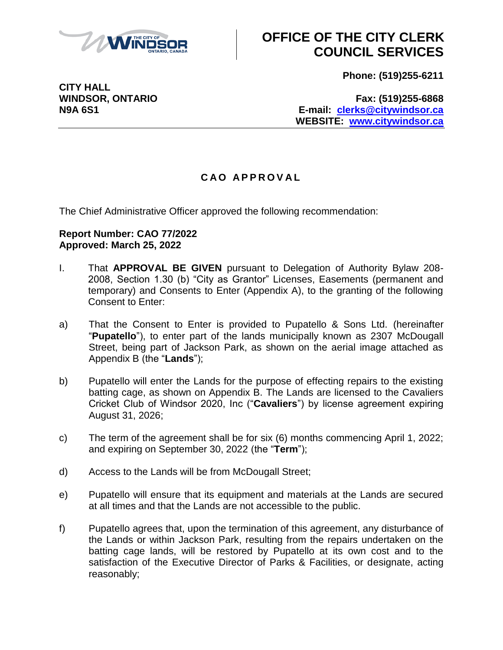

# **OFFICE OF THE CITY CLERK COUNCIL SERVICES**

**Phone: (519)255-6211**

**WINDSOR, ONTARIO Fax: (519)255-6868 N9A 6S1 E-mail: [clerks@citywindsor.ca](mailto:clerks@citywindsor.ca) WEBSITE: [www.citywindsor.ca](http://www.citywindsor.ca/)**

### **C A O A P P R O V A L**

The Chief Administrative Officer approved the following recommendation:

#### **Report Number: CAO 77/2022 Approved: March 25, 2022**

- I. That **APPROVAL BE GIVEN** pursuant to Delegation of Authority Bylaw 208- 2008, Section 1.30 (b) "City as Grantor" Licenses, Easements (permanent and temporary) and Consents to Enter (Appendix A), to the granting of the following Consent to Enter:
- a) That the Consent to Enter is provided to Pupatello & Sons Ltd. (hereinafter "**Pupatello**"), to enter part of the lands municipally known as 2307 McDougall Street, being part of Jackson Park, as shown on the aerial image attached as Appendix B (the "**Lands**");
- b) Pupatello will enter the Lands for the purpose of effecting repairs to the existing batting cage, as shown on Appendix B. The Lands are licensed to the Cavaliers Cricket Club of Windsor 2020, Inc ("**Cavaliers**") by license agreement expiring August 31, 2026;
- c) The term of the agreement shall be for six (6) months commencing April 1, 2022; and expiring on September 30, 2022 (the "**Term**");
- d) Access to the Lands will be from McDougall Street;
- e) Pupatello will ensure that its equipment and materials at the Lands are secured at all times and that the Lands are not accessible to the public.
- f) Pupatello agrees that, upon the termination of this agreement, any disturbance of the Lands or within Jackson Park, resulting from the repairs undertaken on the batting cage lands, will be restored by Pupatello at its own cost and to the satisfaction of the Executive Director of Parks & Facilities, or designate, acting reasonably;

**CITY HALL**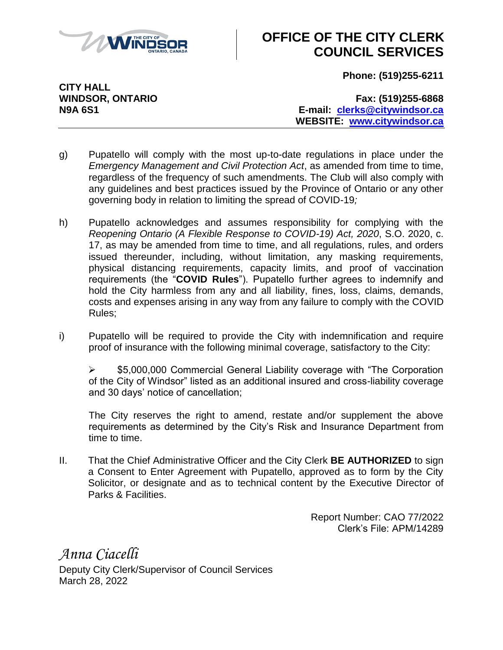

## **OFFICE OF THE CITY CLERK COUNCIL SERVICES**

**Phone: (519)255-6211**

**CITY HALL**

**WINDSOR, ONTARIO Fax: (519)255-6868 N9A 6S1 E-mail: [clerks@citywindsor.ca](mailto:clerks@citywindsor.ca) WEBSITE: [www.citywindsor.ca](http://www.citywindsor.ca/)**

- g) Pupatello will comply with the most up-to-date regulations in place under the *Emergency Management and Civil Protection Act*, as amended from time to time, regardless of the frequency of such amendments. The Club will also comply with any guidelines and best practices issued by the Province of Ontario or any other governing body in relation to limiting the spread of COVID-19*;*
- h) Pupatello acknowledges and assumes responsibility for complying with the *Reopening Ontario (A Flexible Response to COVID-19) Act, 2020*, S.O. 2020, c. 17, as may be amended from time to time, and all regulations, rules, and orders issued thereunder, including, without limitation, any masking requirements, physical distancing requirements, capacity limits, and proof of vaccination requirements (the "**COVID Rules**"). Pupatello further agrees to indemnify and hold the City harmless from any and all liability, fines, loss, claims, demands, costs and expenses arising in any way from any failure to comply with the COVID Rules;
- i) Pupatello will be required to provide the City with indemnification and require proof of insurance with the following minimal coverage, satisfactory to the City:

**► \$5,000,000 Commercial General Liability coverage with "The Corporation** of the City of Windsor" listed as an additional insured and cross-liability coverage and 30 days' notice of cancellation;

The City reserves the right to amend, restate and/or supplement the above requirements as determined by the City's Risk and Insurance Department from time to time.

II. That the Chief Administrative Officer and the City Clerk **BE AUTHORIZED** to sign a Consent to Enter Agreement with Pupatello, approved as to form by the City Solicitor, or designate and as to technical content by the Executive Director of Parks & Facilities.

> Report Number: CAO 77/2022 Clerk's File: APM/14289

*Anna Ciacelli* Deputy City Clerk/Supervisor of Council Services March 28, 2022